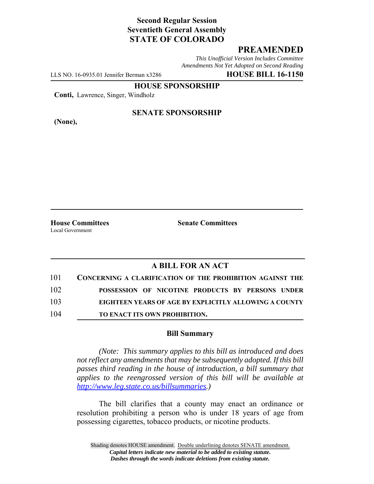# **Second Regular Session Seventieth General Assembly STATE OF COLORADO**

## **PREAMENDED**

*This Unofficial Version Includes Committee Amendments Not Yet Adopted on Second Reading*

LLS NO. 16-0935.01 Jennifer Berman x3286 **HOUSE BILL 16-1150**

**HOUSE SPONSORSHIP**

**Conti,** Lawrence, Singer, Windholz

**(None),**

### **SENATE SPONSORSHIP**

Local Government

**House Committees Senate Committees** 

### **A BILL FOR AN ACT**

| 101 | <b>CONCERNING A CLARIFICATION OF THE PROHIBITION AGAINST THE</b> |
|-----|------------------------------------------------------------------|
| 102 | POSSESSION OF NICOTINE PRODUCTS BY PERSONS UNDER                 |
| 103 | EIGHTEEN YEARS OF AGE BY EXPLICITLY ALLOWING A COUNTY            |
| 104 | TO ENACT ITS OWN PROHIBITION.                                    |

#### **Bill Summary**

*(Note: This summary applies to this bill as introduced and does not reflect any amendments that may be subsequently adopted. If this bill passes third reading in the house of introduction, a bill summary that applies to the reengrossed version of this bill will be available at http://www.leg.state.co.us/billsummaries.)*

The bill clarifies that a county may enact an ordinance or resolution prohibiting a person who is under 18 years of age from possessing cigarettes, tobacco products, or nicotine products.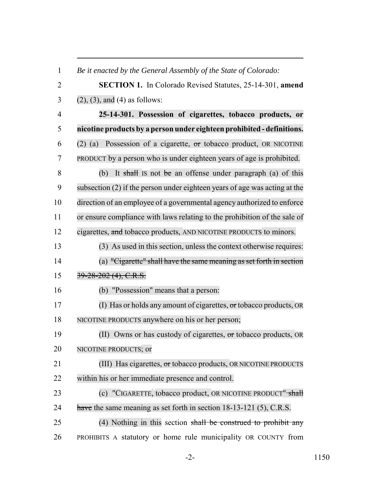| $\mathbf{1}$   | Be it enacted by the General Assembly of the State of Colorado:            |
|----------------|----------------------------------------------------------------------------|
| $\overline{2}$ | <b>SECTION 1.</b> In Colorado Revised Statutes, 25-14-301, amend           |
| 3              | $(2)$ , $(3)$ , and $(4)$ as follows:                                      |
| $\overline{4}$ | 25-14-301. Possession of cigarettes, tobacco products, or                  |
| 5              | nicotine products by a person under eighteen prohibited - definitions.     |
| 6              | Possession of a cigarette, or tobacco product, OR NICOTINE<br>$(2)$ (a)    |
| 7              | PRODUCT by a person who is under eighteen years of age is prohibited.      |
| 8              | It shall is not be an offense under paragraph (a) of this<br>(b)           |
| 9              | subsection (2) if the person under eighteen years of age was acting at the |
| 10             | direction of an employee of a governmental agency authorized to enforce    |
| 11             | or ensure compliance with laws relating to the prohibition of the sale of  |
| 12             | cigarettes, and tobacco products, AND NICOTINE PRODUCTS to minors.         |
| 13             | (3) As used in this section, unless the context otherwise requires:        |
| 14             | (a) "Cigarette" shall have the same meaning as set forth in section        |
| 15             | $39 - 28 - 202$ (4), C.R.S.                                                |
| 16             | (b) "Possession" means that a person:                                      |
| 17             | (I) Has or holds any amount of cigarettes, $\sigma$ r tobacco products, OR |
| 18             | NICOTINE PRODUCTS anywhere on his or her person;                           |
| 19             | (II) Owns or has custody of cigarettes, or tobacco products, OR            |
| 20             | NICOTINE PRODUCTS; or                                                      |
| 21             | (III) Has cigarettes, or tobacco products, OR NICOTINE PRODUCTS            |
| 22             | within his or her immediate presence and control.                          |
| 23             | (c) "CIGARETTE, tobacco product, OR NICOTINE PRODUCT" shall                |
| 24             | have the same meaning as set forth in section 18-13-121 (5), C.R.S.        |
| 25             | (4) Nothing in this section shall be construed to prohibit any             |
| 26             | PROHIBITS A statutory or home rule municipality OR COUNTY from             |